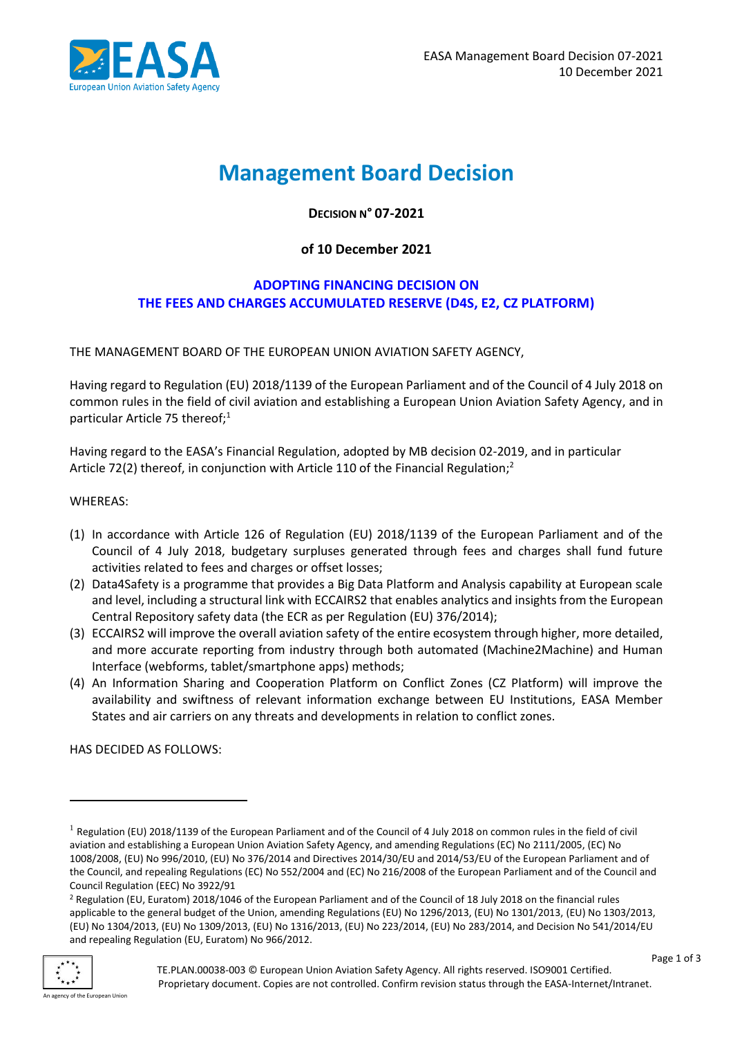

# **Management Board Decision**

**DECISION N° 07-2021**

#### **of 10 December 2021**

#### **ADOPTING FINANCING DECISION ON THE FEES AND CHARGES ACCUMULATED RESERVE (D4S, E2, CZ PLATFORM)**

THE MANAGEMENT BOARD OF THE EUROPEAN UNION AVIATION SAFETY AGENCY,

Having regard to Regulation (EU) 2018/1139 of the European Parliament and of the Council of 4 July 2018 on common rules in the field of civil aviation and establishing a European Union Aviation Safety Agency, and in particular Article 75 thereof;<sup>1</sup>

Having regard to the EASA's Financial Regulation, adopted by MB decision 02-2019, and in particular Article 72(2) thereof, in conjunction with Article 110 of the Financial Regulation;<sup>2</sup>

WHEREAS:

- (1) In accordance with Article 126 of Regulation (EU) 2018/1139 of the European Parliament and of the Council of 4 July 2018, budgetary surpluses generated through fees and charges shall fund future activities related to fees and charges or offset losses;
- (2) Data4Safety is a programme that provides a Big Data Platform and Analysis capability at European scale and level, including a structural link with ECCAIRS2 that enables analytics and insights from the European Central Repository safety data (the ECR as per Regulation (EU) 376/2014);
- (3) ECCAIRS2 will improve the overall aviation safety of the entire ecosystem through higher, more detailed, and more accurate reporting from industry through both automated (Machine2Machine) and Human Interface (webforms, tablet/smartphone apps) methods;
- (4) An Information Sharing and Cooperation Platform on Conflict Zones (CZ Platform) will improve the availability and swiftness of relevant information exchange between EU Institutions, EASA Member States and air carriers on any threats and developments in relation to conflict zones.

HAS DECIDED AS FOLLOWS:

<sup>&</sup>lt;sup>2</sup> Regulation (EU, Euratom) 2018/1046 of the European Parliament and of the Council of 18 July 2018 on the financial rules applicable to the general budget of the Union, amending Regulations (EU) No 1296/2013, (EU) No 1301/2013, (EU) No 1303/2013, (EU) No 1304/2013, (EU) No 1309/2013, (EU) No 1316/2013, (EU) No 223/2014, (EU) No 283/2014, and Decision No 541/2014/EU and repealing Regulation (EU, Euratom) No 966/2012.



<sup>&</sup>lt;sup>1</sup> Regulation (EU) 2018/1139 of the European Parliament and of the Council of 4 July 2018 on common rules in the field of civil aviation and establishing a European Union Aviation Safety Agency, and amending Regulations (EC) No 2111/2005, (EC) No 1008/2008, (EU) No 996/2010, (EU) No 376/2014 and Directives 2014/30/EU and 2014/53/EU of the European Parliament and of the Council, and repealing Regulations (EC) No 552/2004 and (EC) No 216/2008 of the European Parliament and of the Council and Council Regulation (EEC) No 3922/91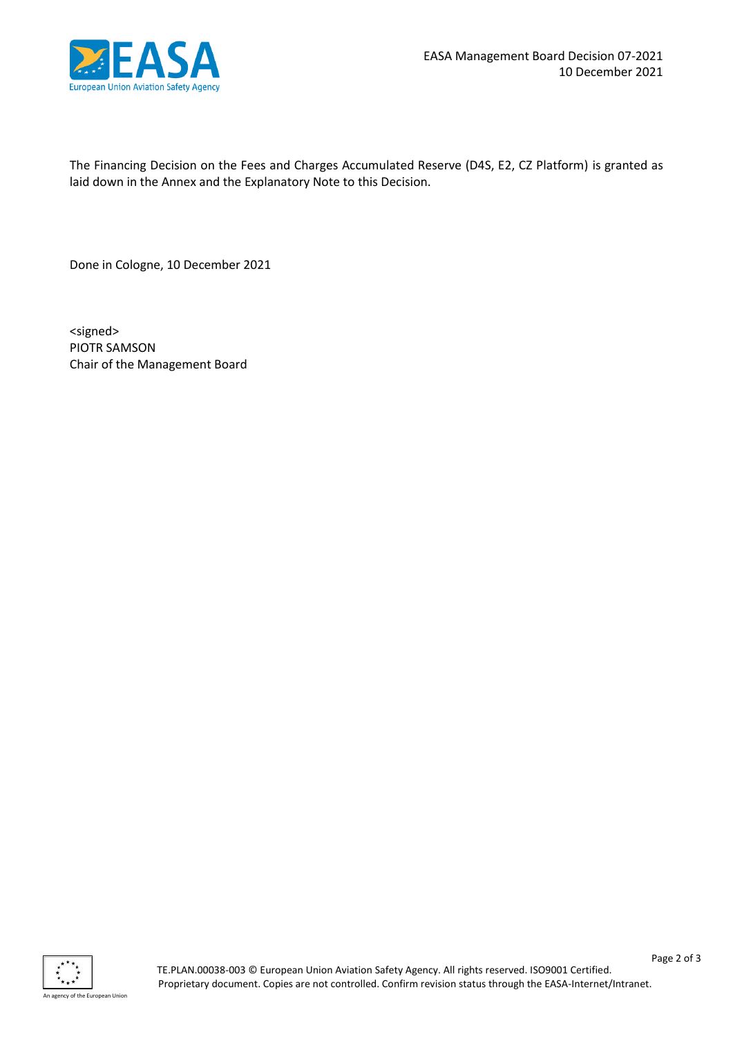

The Financing Decision on the Fees and Charges Accumulated Reserve (D4S, E2, CZ Platform) is granted as laid down in the Annex and the Explanatory Note to this Decision.

Done in Cologne, 10 December 2021

<signed> PIOTR SAMSON Chair of the Management Board